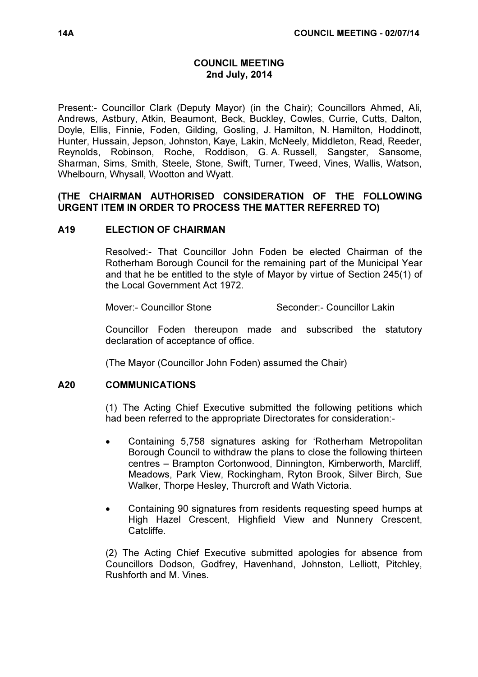### COUNCIL MEETING 2nd July, 2014

Present:- Councillor Clark (Deputy Mayor) (in the Chair); Councillors Ahmed, Ali, Andrews, Astbury, Atkin, Beaumont, Beck, Buckley, Cowles, Currie, Cutts, Dalton, Doyle, Ellis, Finnie, Foden, Gilding, Gosling, J. Hamilton, N. Hamilton, Hoddinott, Hunter, Hussain, Jepson, Johnston, Kaye, Lakin, McNeely, Middleton, Read, Reeder, Reynolds, Robinson, Roche, Roddison, G. A. Russell, Sangster, Sansome, Sharman, Sims, Smith, Steele, Stone, Swift, Turner, Tweed, Vines, Wallis, Watson, Whelbourn, Whysall, Wootton and Wyatt.

### (THE CHAIRMAN AUTHORISED CONSIDERATION OF THE FOLLOWING URGENT ITEM IN ORDER TO PROCESS THE MATTER REFERRED TO)

### A19 ELECTION OF CHAIRMAN

 Resolved:- That Councillor John Foden be elected Chairman of the Rotherham Borough Council for the remaining part of the Municipal Year and that he be entitled to the style of Mayor by virtue of Section 245(1) of the Local Government Act 1972.

Mover:- Councillor Stone Seconder:- Councillor Lakin

Councillor Foden thereupon made and subscribed the statutory declaration of acceptance of office.

(The Mayor (Councillor John Foden) assumed the Chair)

#### A20 COMMUNICATIONS

 (1) The Acting Chief Executive submitted the following petitions which had been referred to the appropriate Directorates for consideration:-

- Containing 5,758 signatures asking for 'Rotherham Metropolitan Borough Council to withdraw the plans to close the following thirteen centres – Brampton Cortonwood, Dinnington, Kimberworth, Marcliff, Meadows, Park View, Rockingham, Ryton Brook, Silver Birch, Sue Walker, Thorpe Hesley, Thurcroft and Wath Victoria.
- Containing 90 signatures from residents requesting speed humps at High Hazel Crescent, Highfield View and Nunnery Crescent, Catcliffe.

(2) The Acting Chief Executive submitted apologies for absence from Councillors Dodson, Godfrey, Havenhand, Johnston, Lelliott, Pitchley, Rushforth and M. Vines.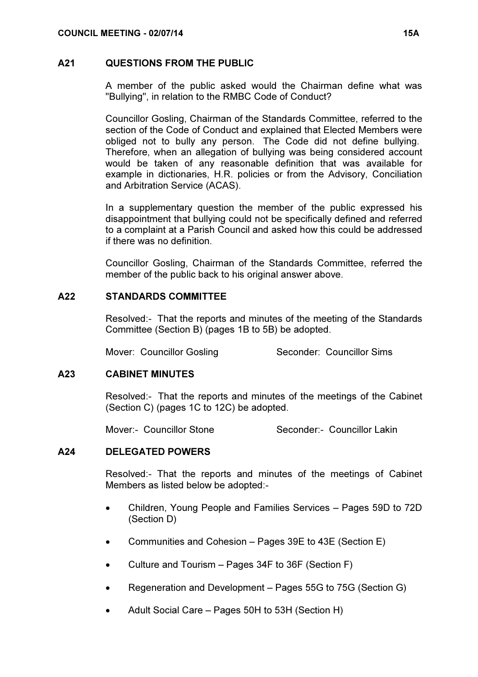#### A21 QUESTIONS FROM THE PUBLIC

 A member of the public asked would the Chairman define what was "Bullying", in relation to the RMBC Code of Conduct?

Councillor Gosling, Chairman of the Standards Committee, referred to the section of the Code of Conduct and explained that Elected Members were obliged not to bully any person. The Code did not define bullying. Therefore, when an allegation of bullying was being considered account would be taken of any reasonable definition that was available for example in dictionaries, H.R. policies or from the Advisory, Conciliation and Arbitration Service (ACAS).

In a supplementary question the member of the public expressed his disappointment that bullying could not be specifically defined and referred to a complaint at a Parish Council and asked how this could be addressed if there was no definition.

Councillor Gosling, Chairman of the Standards Committee, referred the member of the public back to his original answer above.

### A22 STANDARDS COMMITTEE

 Resolved:- That the reports and minutes of the meeting of the Standards Committee (Section B) (pages 1B to 5B) be adopted.

Mover: Councillor Gosling Seconder: Councillor Sims

# A23 CABINET MINUTES

 Resolved:- That the reports and minutes of the meetings of the Cabinet (Section C) (pages 1C to 12C) be adopted.

Mover:- Councillor Stone Seconder:- Councillor Lakin

#### A24 DELEGATED POWERS

 Resolved:- That the reports and minutes of the meetings of Cabinet Members as listed below be adopted:-

- Children, Young People and Families Services Pages 59D to 72D (Section D)
- Communities and Cohesion Pages 39E to 43E (Section E)
- Culture and Tourism Pages 34F to 36F (Section F)
- Regeneration and Development Pages 55G to 75G (Section G)
- Adult Social Care Pages 50H to 53H (Section H)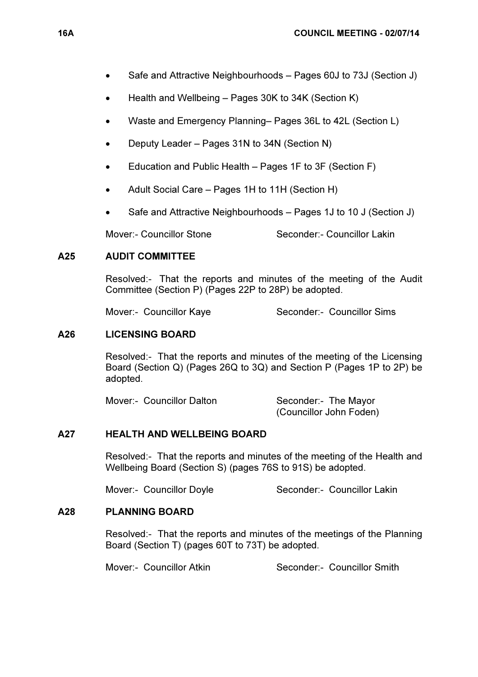- Safe and Attractive Neighbourhoods Pages 60J to 73J (Section J)
- Health and Wellbeing Pages 30K to 34K (Section K)
- Waste and Emergency Planning– Pages 36L to 42L (Section L)
- Deputy Leader Pages 31N to 34N (Section N)
- Education and Public Health Pages 1F to 3F (Section F)
- Adult Social Care Pages 1H to 11H (Section H)
- Safe and Attractive Neighbourhoods Pages 1J to 10 J (Section J)

Mover:- Councillor Stone Seconder:- Councillor Lakin

# A25 AUDIT COMMITTEE

 Resolved:- That the reports and minutes of the meeting of the Audit Committee (Section P) (Pages 22P to 28P) be adopted.

Mover:- Councillor Kaye Seconder:- Councillor Sims

# A26 LICENSING BOARD

 Resolved:- That the reports and minutes of the meeting of the Licensing Board (Section Q) (Pages 26Q to 3Q) and Section P (Pages 1P to 2P) be adopted.

Mover:- Councillor Dalton Seconder:- The Mayor

(Councillor John Foden)

# A27 HEALTH AND WELLBEING BOARD

 Resolved:- That the reports and minutes of the meeting of the Health and Wellbeing Board (Section S) (pages 76S to 91S) be adopted.

Mover:- Councillor Doyle Seconder:- Councillor Lakin

# A28 PLANNING BOARD

 Resolved:- That the reports and minutes of the meetings of the Planning Board (Section T) (pages 60T to 73T) be adopted.

Mover:- Councillor Atkin Seconder:- Councillor Smith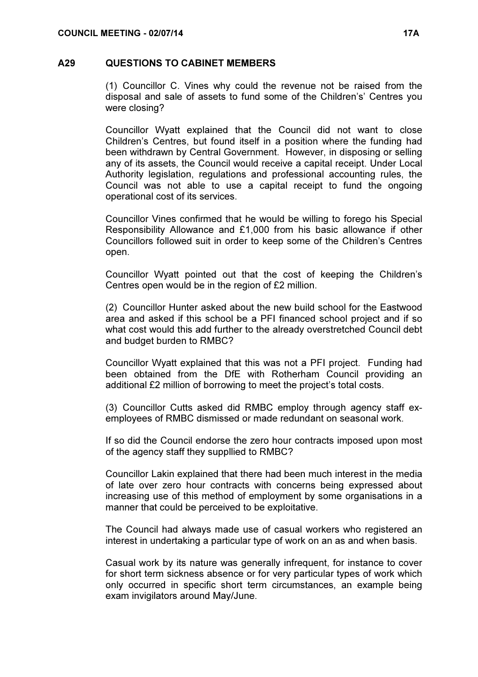#### A29 QUESTIONS TO CABINET MEMBERS

 (1) Councillor C. Vines why could the revenue not be raised from the disposal and sale of assets to fund some of the Children's' Centres you were closing?

Councillor Wyatt explained that the Council did not want to close Children's Centres, but found itself in a position where the funding had been withdrawn by Central Government. However, in disposing or selling any of its assets, the Council would receive a capital receipt. Under Local Authority legislation, regulations and professional accounting rules, the Council was not able to use a capital receipt to fund the ongoing operational cost of its services.

Councillor Vines confirmed that he would be willing to forego his Special Responsibility Allowance and £1,000 from his basic allowance if other Councillors followed suit in order to keep some of the Children's Centres open.

Councillor Wyatt pointed out that the cost of keeping the Children's Centres open would be in the region of £2 million.

(2) Councillor Hunter asked about the new build school for the Eastwood area and asked if this school be a PFI financed school project and if so what cost would this add further to the already overstretched Council debt and budget burden to RMBC?

Councillor Wyatt explained that this was not a PFI project. Funding had been obtained from the DfE with Rotherham Council providing an additional £2 million of borrowing to meet the project's total costs.

(3) Councillor Cutts asked did RMBC employ through agency staff exemployees of RMBC dismissed or made redundant on seasonal work.

If so did the Council endorse the zero hour contracts imposed upon most of the agency staff they suppllied to RMBC?

Councillor Lakin explained that there had been much interest in the media of late over zero hour contracts with concerns being expressed about increasing use of this method of employment by some organisations in a manner that could be perceived to be exploitative.

The Council had always made use of casual workers who registered an interest in undertaking a particular type of work on an as and when basis.

Casual work by its nature was generally infrequent, for instance to cover for short term sickness absence or for very particular types of work which only occurred in specific short term circumstances, an example being exam invigilators around May/June.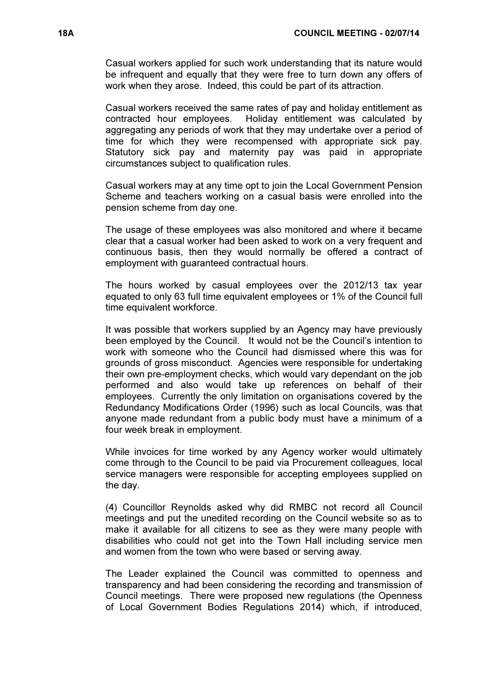Casual workers applied for such work understanding that its nature would be infrequent and equally that they were free to turn down any offers of work when they arose. Indeed, this could be part of its attraction.

Casual workers received the same rates of pay and holiday entitlement as contracted hour employees. Holiday entitlement was calculated by aggregating any periods of work that they may undertake over a period of time for which they were recompensed with appropriate sick pay. Statutory sick pay and maternity pay was paid in appropriate circumstances subject to qualification rules.

Casual workers may at any time opt to join the Local Government Pension Scheme and teachers working on a casual basis were enrolled into the pension scheme from day one.

The usage of these employees was also monitored and where it became clear that a casual worker had been asked to work on a very frequent and continuous basis, then they would normally be offered a contract of employment with guaranteed contractual hours.

The hours worked by casual employees over the 2012/13 tax year equated to only 63 full time equivalent employees or 1% of the Council full time equivalent workforce.

It was possible that workers supplied by an Agency may have previously been employed by the Council. It would not be the Council's intention to work with someone who the Council had dismissed where this was for grounds of gross misconduct. Agencies were responsible for undertaking their own pre-employment checks, which would vary dependant on the job performed and also would take up references on behalf of their employees. Currently the only limitation on organisations covered by the Redundancy Modifications Order (1996) such as local Councils, was that anyone made redundant from a public body must have a minimum of a four week break in employment.

While invoices for time worked by any Agency worker would ultimately come through to the Council to be paid via Procurement colleagues, local service managers were responsible for accepting employees supplied on the day.

(4) Councillor Reynolds asked why did RMBC not record all Council meetings and put the unedited recording on the Council website so as to make it available for all citizens to see as they were many people with disabilities who could not get into the Town Hall including service men and women from the town who were based or serving away.

The Leader explained the Council was committed to openness and transparency and had been considering the recording and transmission of Council meetings. There were proposed new regulations (the Openness of Local Government Bodies Regulations 2014) which, if introduced,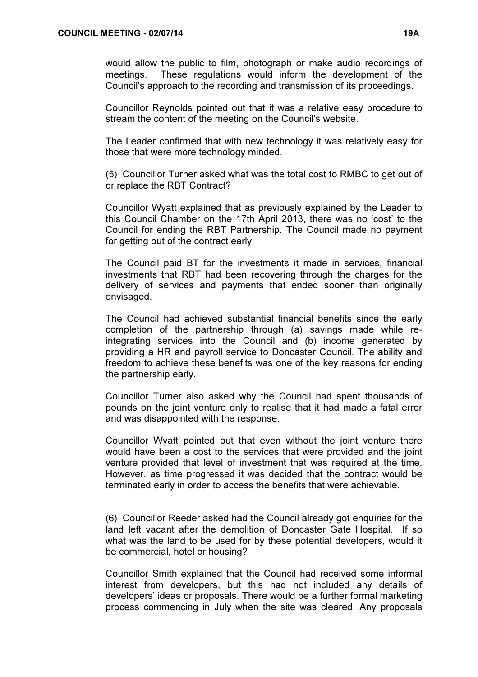would allow the public to film, photograph or make audio recordings of meetings. These regulations would inform the development of the Council's approach to the recording and transmission of its proceedings.

Councillor Reynolds pointed out that it was a relative easy procedure to stream the content of the meeting on the Council's website.

The Leader confirmed that with new technology it was relatively easy for those that were more technology minded.

(5) Councillor Turner asked what was the total cost to RMBC to get out of or replace the RBT Contract?

Councillor Wyatt explained that as previously explained by the Leader to this Council Chamber on the 17th April 2013, there was no 'cost' to the Council for ending the RBT Partnership. The Council made no payment for getting out of the contract early.

The Council paid BT for the investments it made in services, financial investments that RBT had been recovering through the charges for the delivery of services and payments that ended sooner than originally envisaged.

The Council had achieved substantial financial benefits since the early completion of the partnership through (a) savings made while reintegrating services into the Council and (b) income generated by providing a HR and payroll service to Doncaster Council. The ability and freedom to achieve these benefits was one of the key reasons for ending the partnership early.

Councillor Turner also asked why the Council had spent thousands of pounds on the joint venture only to realise that it had made a fatal error and was disappointed with the response.

Councillor Wyatt pointed out that even without the joint venture there would have been a cost to the services that were provided and the joint venture provided that level of investment that was required at the time. However, as time progressed it was decided that the contract would be terminated early in order to access the benefits that were achievable.

(6) Councillor Reeder asked had the Council already got enquiries for the land left vacant after the demolition of Doncaster Gate Hospital. If so what was the land to be used for by these potential developers, would it be commercial, hotel or housing?

Councillor Smith explained that the Council had received some informal interest from developers, but this had not included any details of developers' ideas or proposals. There would be a further formal marketing process commencing in July when the site was cleared. Any proposals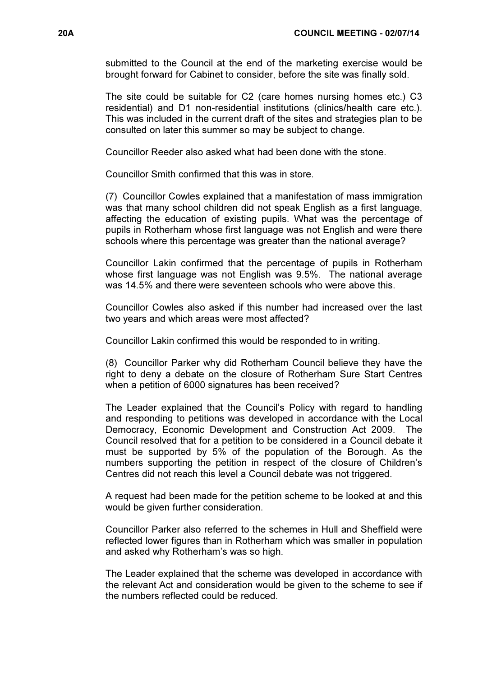submitted to the Council at the end of the marketing exercise would be brought forward for Cabinet to consider, before the site was finally sold.

The site could be suitable for C2 (care homes nursing homes etc.) C3 residential) and D1 non-residential institutions (clinics/health care etc.). This was included in the current draft of the sites and strategies plan to be consulted on later this summer so may be subject to change.

Councillor Reeder also asked what had been done with the stone.

Councillor Smith confirmed that this was in store.

(7) Councillor Cowles explained that a manifestation of mass immigration was that many school children did not speak English as a first language, affecting the education of existing pupils. What was the percentage of pupils in Rotherham whose first language was not English and were there schools where this percentage was greater than the national average?

Councillor Lakin confirmed that the percentage of pupils in Rotherham whose first language was not English was 9.5%. The national average was 14.5% and there were seventeen schools who were above this.

Councillor Cowles also asked if this number had increased over the last two years and which areas were most affected?

Councillor Lakin confirmed this would be responded to in writing.

(8) Councillor Parker why did Rotherham Council believe they have the right to deny a debate on the closure of Rotherham Sure Start Centres when a petition of 6000 signatures has been received?

The Leader explained that the Council's Policy with regard to handling and responding to petitions was developed in accordance with the Local Democracy, Economic Development and Construction Act 2009. The Council resolved that for a petition to be considered in a Council debate it must be supported by 5% of the population of the Borough. As the numbers supporting the petition in respect of the closure of Children's Centres did not reach this level a Council debate was not triggered.

A request had been made for the petition scheme to be looked at and this would be given further consideration.

Councillor Parker also referred to the schemes in Hull and Sheffield were reflected lower figures than in Rotherham which was smaller in population and asked why Rotherham's was so high.

The Leader explained that the scheme was developed in accordance with the relevant Act and consideration would be given to the scheme to see if the numbers reflected could be reduced.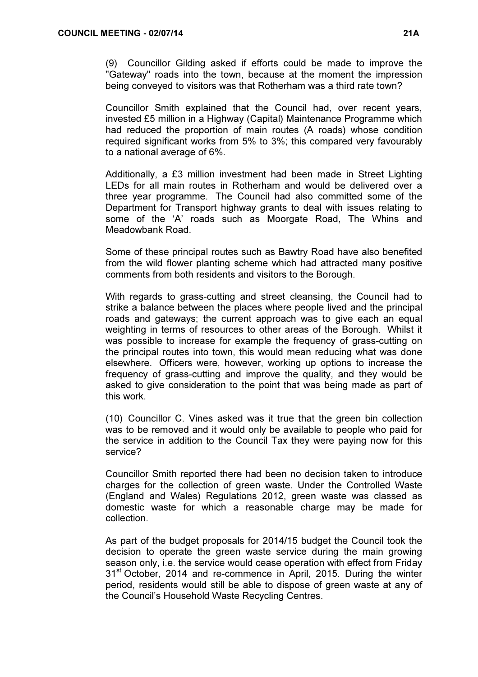(9) Councillor Gilding asked if efforts could be made to improve the "Gateway" roads into the town, because at the moment the impression being conveyed to visitors was that Rotherham was a third rate town?

Councillor Smith explained that the Council had, over recent years, invested £5 million in a Highway (Capital) Maintenance Programme which had reduced the proportion of main routes (A roads) whose condition required significant works from 5% to 3%; this compared very favourably to a national average of 6%.

Additionally, a £3 million investment had been made in Street Lighting LEDs for all main routes in Rotherham and would be delivered over a three year programme. The Council had also committed some of the Department for Transport highway grants to deal with issues relating to some of the 'A' roads such as Moorgate Road, The Whins and Meadowbank Road.

Some of these principal routes such as Bawtry Road have also benefited from the wild flower planting scheme which had attracted many positive comments from both residents and visitors to the Borough.

With regards to grass-cutting and street cleansing, the Council had to strike a balance between the places where people lived and the principal roads and gateways; the current approach was to give each an equal weighting in terms of resources to other areas of the Borough. Whilst it was possible to increase for example the frequency of grass-cutting on the principal routes into town, this would mean reducing what was done elsewhere. Officers were, however, working up options to increase the frequency of grass-cutting and improve the quality, and they would be asked to give consideration to the point that was being made as part of this work.

(10) Councillor C. Vines asked was it true that the green bin collection was to be removed and it would only be available to people who paid for the service in addition to the Council Tax they were paying now for this service?

Councillor Smith reported there had been no decision taken to introduce charges for the collection of green waste. Under the Controlled Waste (England and Wales) Regulations 2012, green waste was classed as domestic waste for which a reasonable charge may be made for collection.

As part of the budget proposals for 2014/15 budget the Council took the decision to operate the green waste service during the main growing season only, i.e. the service would cease operation with effect from Friday 31<sup>st</sup> October, 2014 and re-commence in April, 2015. During the winter period, residents would still be able to dispose of green waste at any of the Council's Household Waste Recycling Centres.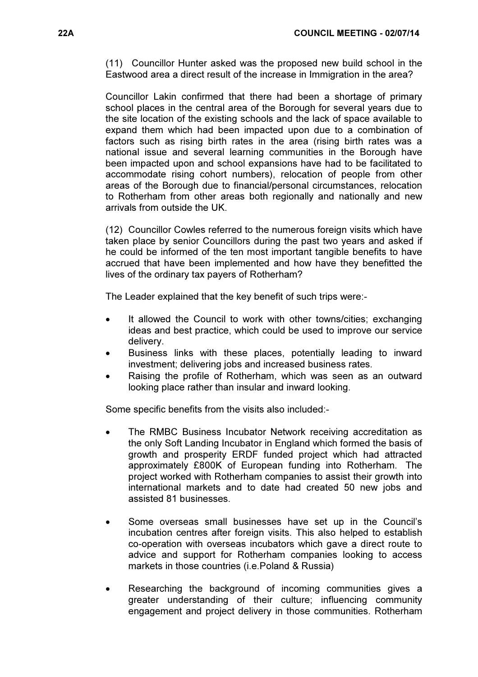(11) Councillor Hunter asked was the proposed new build school in the Eastwood area a direct result of the increase in Immigration in the area?

Councillor Lakin confirmed that there had been a shortage of primary school places in the central area of the Borough for several years due to the site location of the existing schools and the lack of space available to expand them which had been impacted upon due to a combination of factors such as rising birth rates in the area (rising birth rates was a national issue and several learning communities in the Borough have been impacted upon and school expansions have had to be facilitated to accommodate rising cohort numbers), relocation of people from other areas of the Borough due to financial/personal circumstances, relocation to Rotherham from other areas both regionally and nationally and new arrivals from outside the UK.

(12) Councillor Cowles referred to the numerous foreign visits which have taken place by senior Councillors during the past two years and asked if he could be informed of the ten most important tangible benefits to have accrued that have been implemented and how have they benefitted the lives of the ordinary tax payers of Rotherham?

The Leader explained that the key benefit of such trips were:-

- It allowed the Council to work with other towns/cities; exchanging ideas and best practice, which could be used to improve our service delivery.
- Business links with these places, potentially leading to inward investment; delivering jobs and increased business rates.
- Raising the profile of Rotherham, which was seen as an outward looking place rather than insular and inward looking.

Some specific benefits from the visits also included:-

- The RMBC Business Incubator Network receiving accreditation as the only Soft Landing Incubator in England which formed the basis of growth and prosperity ERDF funded project which had attracted approximately £800K of European funding into Rotherham. The project worked with Rotherham companies to assist their growth into international markets and to date had created 50 new jobs and assisted 81 businesses.
- Some overseas small businesses have set up in the Council's incubation centres after foreign visits. This also helped to establish co-operation with overseas incubators which gave a direct route to advice and support for Rotherham companies looking to access markets in those countries (i.e.Poland & Russia)
- Researching the background of incoming communities gives a greater understanding of their culture; influencing community engagement and project delivery in those communities. Rotherham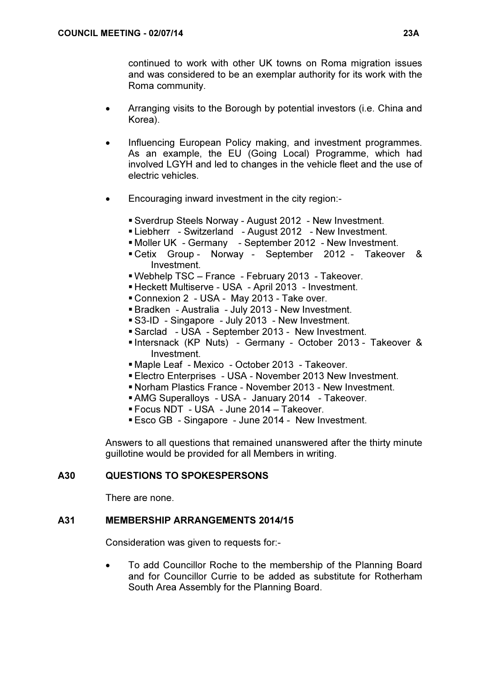continued to work with other UK towns on Roma migration issues and was considered to be an exemplar authority for its work with the Roma community.

- Arranging visits to the Borough by potential investors (i.e. China and Korea).
- Influencing European Policy making, and investment programmes. As an example, the EU (Going Local) Programme, which had involved LGYH and led to changes in the vehicle fleet and the use of electric vehicles.
- Encouraging inward investment in the city region:-
	- Sverdrup Steels Norway August 2012 New Investment.
	- **Liebherr** Switzerland August 2012 New Investment.
	- Moller UK Germany September 2012 New Investment.
	- Cetix Group Norway September 2012 Takeover & Investment.
	- Webhelp TSC France February 2013 Takeover.
	- Heckett Multiserve USA April 2013 Investment.
	- Connexion 2 USA May 2013 Take over.
	- Bradken Australia July 2013 New Investment.
	- S3-ID Singapore July 2013 New Investment.
	- Sarclad USA September 2013 New Investment.
	- Intersnack (KP Nuts) Germany October 2013 Takeover & Investment.
	- Maple Leaf Mexico October 2013 Takeover.
	- Electro Enterprises USA November 2013 New Investment.
	- Norham Plastics France November 2013 New Investment.
	- AMG Superalloys USA January 2014 Takeover.
	- Focus NDT USA June 2014 Takeover.
	- Esco GB Singapore June 2014 New Investment.

Answers to all questions that remained unanswered after the thirty minute guillotine would be provided for all Members in writing.

# A30 QUESTIONS TO SPOKESPERSONS

There are none.

#### A31 MEMBERSHIP ARRANGEMENTS 2014/15

Consideration was given to requests for:-

• To add Councillor Roche to the membership of the Planning Board and for Councillor Currie to be added as substitute for Rotherham South Area Assembly for the Planning Board.